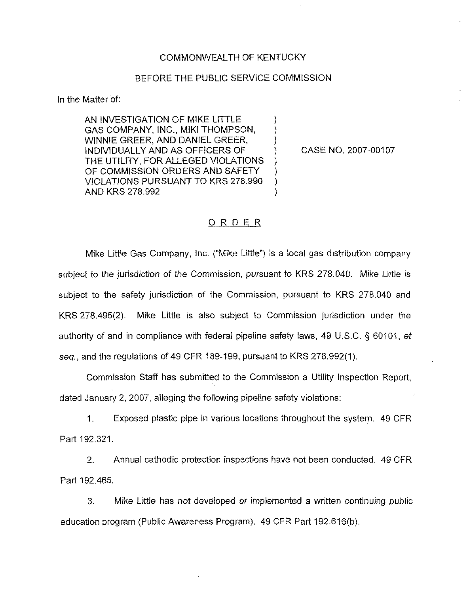#### COMMONWEALTH OF KENTUCKY

#### BEFORE THE PUBLIC SERVICE COMMISSION

) ) )

) )

)

In the Matter of:

AN INVESTIGATION OF MIKE LITTLE GAS COMPANY, INC., MIKI THOMPSON, WINNIE GREER, AND DANIEL GREER, INDIVIDUALLY AND AS OFFICERS OF THE UTILITY, FOR ALLEGED VIOLATIONS OF COMMISSION ORDERS AND SAFETY VIOLATIONS PURSUANT TO KRS 278.990 AND KRS 278.992

) CASE NO. 2007-00107

#### ORDER

Mike Little Gas Company, Inc. ("Mike Little") is a local gas distribution compan subject to the jurisdiction of the Commission, pursuant to KRS 278.040. Mike Little is subject to the safety jurisdiction of the Commission, pursuant to KRS 278.040 and KRS 278.495(2). Mike Little is also subject to Commission jurisdiction under the authority of and in compliance with federal pipeline safety laws, 49 U.S.C. § 60101, et seq., and the regulations of 49 CFR 189-199, pursuant to KRS 278.992(1).

Commission Staff has submitted to the Commission a Utility Inspection Report, dated January 2, 2007, alleging the following pipeiine safety violations:

1. Exposed plastic pipe in various locations throughout the system. 49 CFR Part 192.321.

2. Annual cathodic protection inspections have not been conducted. 49 CFR Part 192.465.

3. Mike Little has not developed or implemented a written continuing public education program (Public Awareness Program). 49 CFR Part 192.616(b).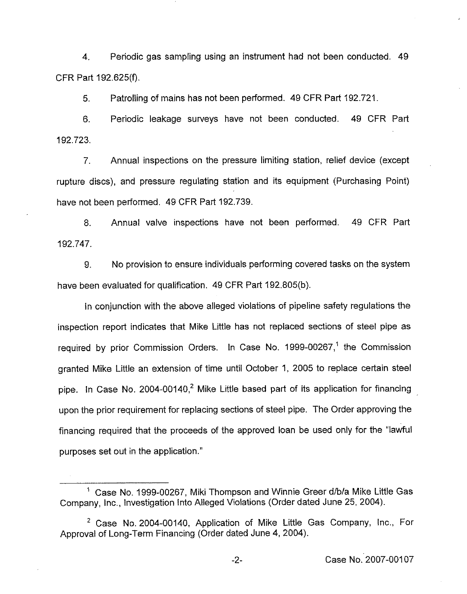4, Periodic gas sampling using an instrument had not been conducted. 49 CFR Part 192,625(f).

5. Patrolling of mains has not been performed. 49 CFR Part 192.721.

6. Periodic leakage surveys have not been conducted. 49 CFR Part 192.723,

7. Annual inspections on the pressure limiting station, relief device (except rupture discs), and pressure regulating station and its equipment (Purchasing Point) have not been performed. 49 CFR Part 192.739.

8. Annual valve inspections have not been performed. 49 CFR Part 192.747.

9. No provision to ensure individuals performing covered tasks on the system have been evaluated for qualification. 49 CFR Part 192,805(b).

ln conjunction with the above alleged violations of pipeline safety regulations the inspection report indicates that Mike Little has not replaced sections of steel pipe as required by prior Commission Orders. In Case No. 1999-00267,<sup>1</sup> the Commission granted Mike Little an extension of time until October 1, 2005 to replace certain steel pipe. In Case No. 2004-00140, $<sup>2</sup>$  Mike Little based part of its application for financing</sup> upon the prior requirement for replacing sections of steel pipe. The Order approving the financing required that the proceeds of the approved loan be used only for the "lawful purposes set out in the application."

<sup>&</sup>lt;sup>1</sup> Case No. 1999-00267, Miki Thompson and Winnie Greer d/b/a Mike Little Gas Company, Inc., Investigation into Alleged Violations (Order dated June 25, 2004).

 $2$  Case No. 2004-00140, Application of Mike Little Gas Company, Inc., For Approval of Long-Term Financing (Order dated June 4, 2004).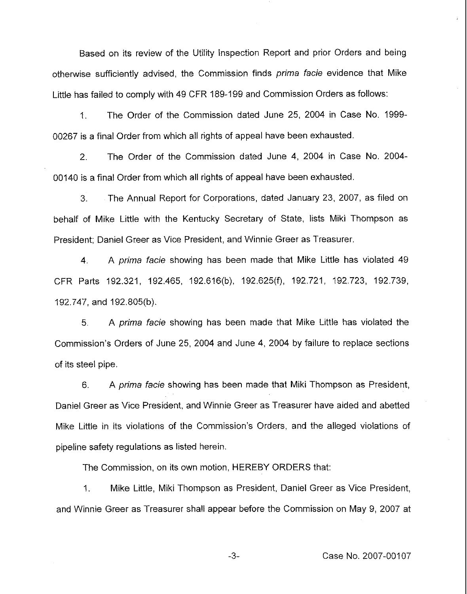Based on its review of the Utility inspection Report and prior Orders and being otherwise sufficiently advised, the Commission finds prima facie evidence that Mike Little has failed to comply with 49 CFR 189-199and Commission Orders as follows:

1. The Order of the Commission dated June 25, 2004 in Case No. 1999- 00267 is a final Order from which all rights of appeal have been exhausted.

2. The Order of the Commission dated June 4, 2004 in Case No. 2004- 00140 is a final Order from which all rights of appeal have been exhausted.

3. The Annual Report for Corporations, dated January 23, 2007, as filed on behalf of Mike Little with the Kentucky Secretary of State, lists Miki Thompson as President; Daniel Greer as Vice President, and Winnie Greer as Treasurer.

4. A prima facie showing has been made that Mike Little has violated 49 CFR Parts 192.321, 192.465, 192.616(b), 192.625(f), 192.721, 'l92.723, 192.739, 192.747, and 192,805(b).

5. A prima facie showing has been made that Mike Little has violated the Commission's Orders of June 25, 2004 and June 4, 2004 by failure to replace sections of its steel pipe,

6. A prima facie showing has been made that Miki Thompson as President, Daniel Greer as Vice President, and Winnie Greer as Treasurer have aided and abetted Mike Little in its violations of the Commission's Orders, and the alleged violations of pipeline safety regulations as listed herein.

The Commission, on its own motion, HEREBY ORDERS that:

1. Mike Little, Miki Thompson as President, Daniel Greer as Vice President, and Winnie Greer as Treasurer shall appear before the Commission on May 9, 2007 at

 $-3-$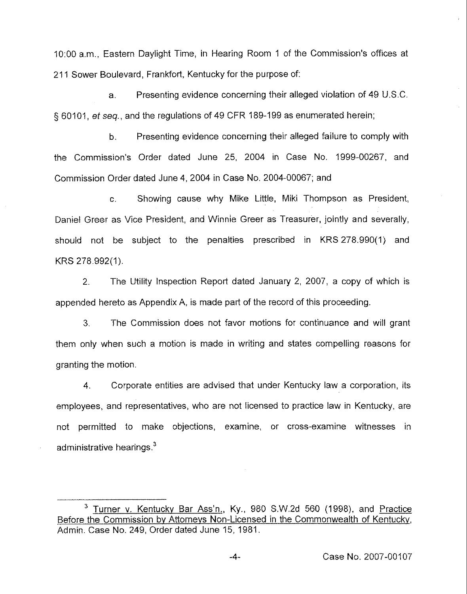10:00 a.m., Eastern Daylight Time, in Hearing Room <sup>1</sup> of the Commission's offices at 211 Sower Boulevard, Frankfort, Kentucky for the purpose of:

a. Presenting evidence concerning their alleged violation of 49 U.S.C. § 60101, et seq., and the regulations of 49 CFR 189-199 as enumerated herein;

b. Presenting evidence concerning their alleged failure to comply with the Commission's Order dated June 25, 2004 in Case No. 1999-00267, and Commission Order dated June 4, 2004 in Case No. 2004-00067; and

c, Showing cause why Mike Little, Miki Thompson as President, Daniel Greer as Vice President, and Winnie Greer as Treasurer, jointly and severally, shouid not be subject to the penalties prescribed in KRS 278.990(1) and KRS 278.992(1).

2. The Utility Inspection Report dated January 2, 2007, a copy of which is appended hereto as Appendix A, is made part of the record of this proceeding.

3. The Commission does not favor motions for continuance and will grant them only when such a motion is made in writing and states compelling reasons for granting the motion.

4. Corporate entities are advised that under Kentucky law a corporation, its employees, and representatives, who are not licensed to practice law in Kentucky, are not permitted to make objections, examine, or cross-examine witnesses in administrative hearings.<sup>3</sup>

 $-4-$ 

<sup>&</sup>lt;sup>3</sup> Turner v. Kentucky Bar Ass'n., Ky., 980 S.W.2d 560 (1998), and Practice Before the Commission bv Attornevs Non-Licensed in the Commonwealth of Kentuckv, Admin. Case No. 249, Order dated June 15, 1981.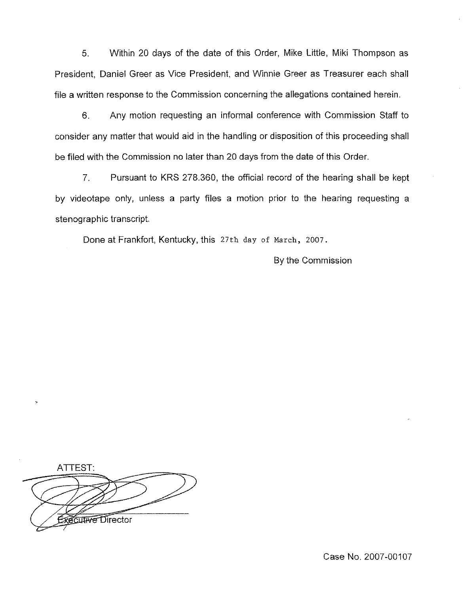5. Within 20 days of the date of this Order, Mike Little, Miki Thompson as President, Daniel Greer as Vice President, and Winnie Greer as Treasurer each shall file a written response to the Commission concerning the allegations contained herein.

6. Any motion requesting an informal conference with Commission Staff to consider any matter that would aid in the handling or disposition of this proceeding shall be filed with the Commission no later than 20 days from the date of this Order.

7. Pursuant to KRS 278.360, the official record of the hearing shall be kept by videotape only, unless a party files a motion prior to the hearing requesting a stenographic transcript,

Done at Frankfort, Kentucky, this 27th day of March, 2007.

By the Commission

ATTEST: **CLINE Director** 

Case No. 2007-00107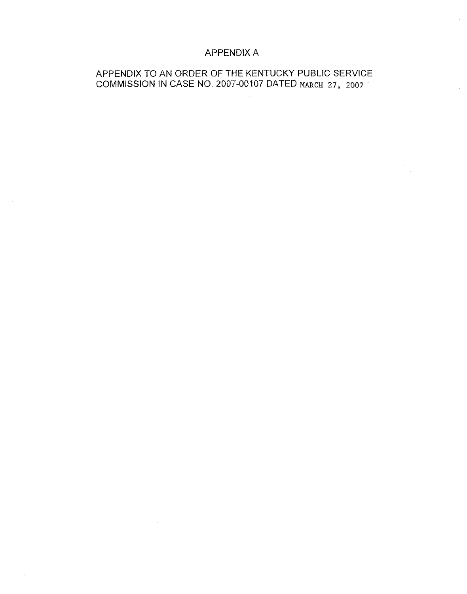## APPENDIX A

## APPENDIX TO AN ORDER OF THE KENTUCKY PUBLIC SERVICE COMMISSION IN CASE NO. 2007-00107 DATED MARCH 27, 2007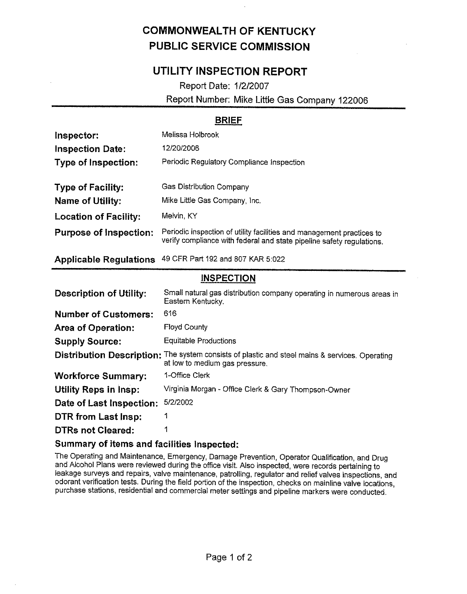# COMMONWEALTH OF KENTUCKY PUBLIC SERVICE COMMISSION

# UTILITY INSPECTION REPORT

Report Date: 1/2/2007

Report Number: Mike Little Gas Company 122006

### BRIEF

| Inspector:                    | Melissa Holbrook                                                                                                                               |
|-------------------------------|------------------------------------------------------------------------------------------------------------------------------------------------|
| <b>Inspection Date:</b>       | 12/20/2006                                                                                                                                     |
| Type of Inspection:           | Periodic Regulatory Compliance Inspection                                                                                                      |
| <b>Type of Facility:</b>      | Gas Distribution Company                                                                                                                       |
| <b>Name of Utility:</b>       | Mike Little Gas Company, Inc.                                                                                                                  |
| <b>Location of Facility:</b>  | Melvin, KY                                                                                                                                     |
| <b>Purpose of Inspection:</b> | Periodic inspection of utility facilities and management practices to<br>verify compliance with federal and state pipeline safety regulations. |
|                               |                                                                                                                                                |

Applicable Regulations 49 CFR Part 192 and 807 KAR 5:022

#### **INSPECTION**

| <b>Description of Utility:</b>   | Small natural gas distribution company operating in numerous areas in<br>Eastern Kentucky.             |
|----------------------------------|--------------------------------------------------------------------------------------------------------|
| <b>Number of Customers:</b>      | 616                                                                                                    |
| <b>Area of Operation:</b>        | <b>Floyd County</b>                                                                                    |
| <b>Supply Source:</b>            | <b>Equitable Productions</b>                                                                           |
| <b>Distribution Description:</b> | The system consists of plastic and steel mains & services. Operating<br>at low to medium gas pressure. |
| <b>Workforce Summary:</b>        | 1-Office Clerk                                                                                         |
| <b>Utility Reps in Insp:</b>     | Virginia Morgan - Office Clerk & Gary Thompson-Owner                                                   |
| Date of Last Inspection:         | 5/2/2002                                                                                               |
| DTR from Last Insp:              | 1                                                                                                      |
| <b>DTRs not Cleared:</b>         |                                                                                                        |

#### Summary of items and facilities inspected:

The Operating and Maintenance, Emergency, Damage Prevention, Operator Qualification, and Drug and Alcohol Plans were reviewed during the office visit. Also inspected, were records pertaining to leakage surveys and repairs, valve maintenance, patrolling, regulator and relief valves inspections, and odorant verification tests. During the field portion of the inspection, checks on mainline valve locations, purchase stations, residential and commercial meter settings and pipeline markers were conducted.